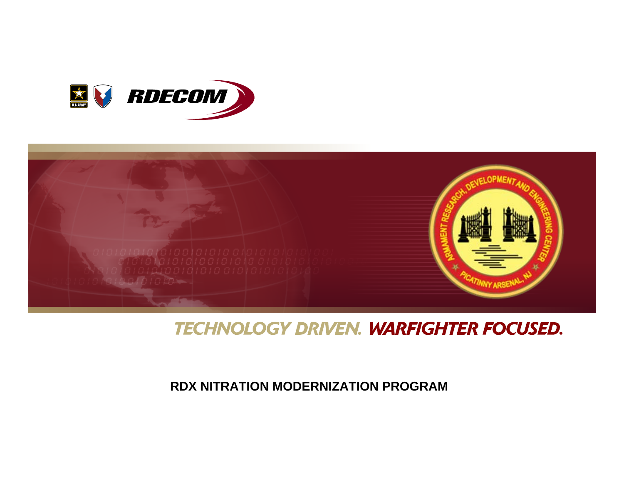



### **TECHNOLOGY DRIVEN. WARFIGHTER FOCUSED.**

#### **RDX NITRATION MODERNIZATION PROGRAM**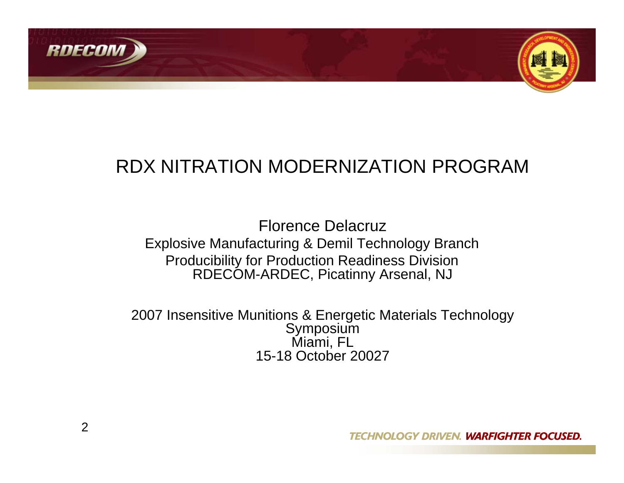



### RDX NITRATION MODERNIZATION PROGRAM

Florence DelacruzExplosive Manufacturing & Demil Technology Branch Producibility for Production Readiness Division RDECOM-ARDEC, Picatinny Arsenal, NJ

2007 Insensitive Munitions & Energetic Materials Technology Symposium Miami, FL 15-18 October 20027

**TECHNOLOGY DRIVEN. WARFIGHTER FOCUSED.**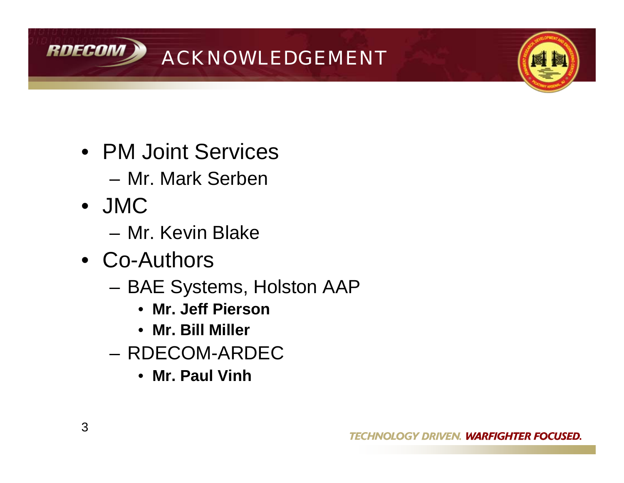

- PM Joint Services
	- Mr. Mark Serben
- JMC
	- Mr. Kevin Blake
- Co-Authors
	- BAE Systems, Holston AAP
		- **Mr. Jeff Pierson**
		- **Mr. Bill Miller**
	- RDECOM-ARDEC
		- **Mr. Paul Vinh**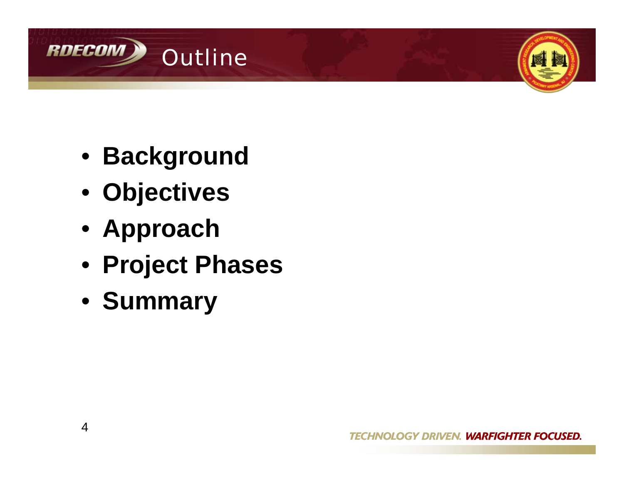



- **Background**
- **Objectives**
- **Approach**
- **Project Phases**
- **Summary**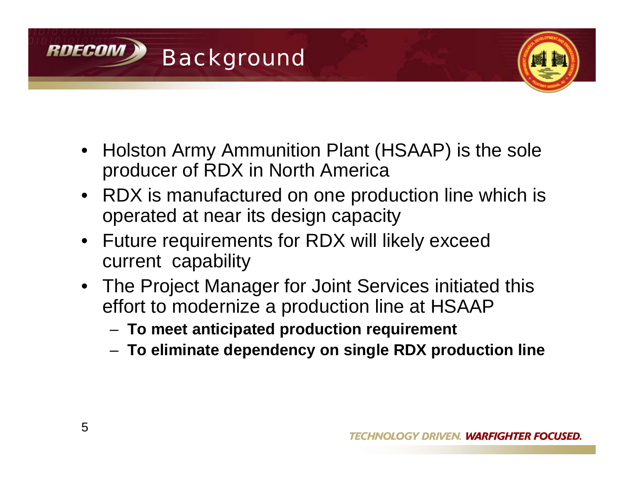



- Holston Army Ammunition Plant (HSAAP) is the sole producer of RDX in North America
- RDX is manufactured on one production line which is operated at near its design capacity
- Future requirements for RDX will likely exceed current capability
- The Project Manager for Joint Services initiated this effort to modernize a production line at HSAAP
	- **To meet anticipated production requirement**
	- **To eliminate dependency on single RDX production line**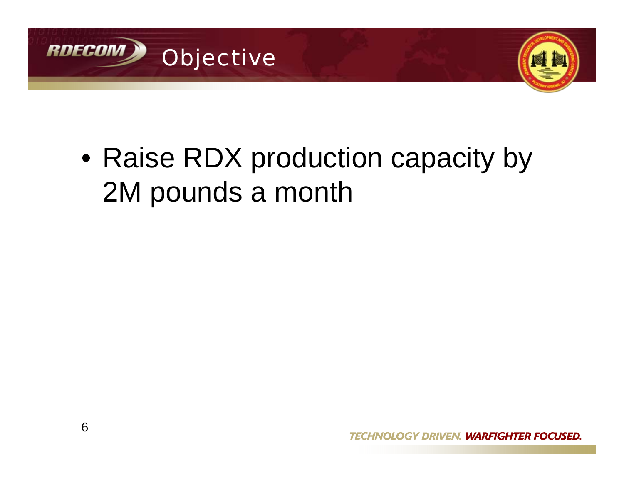



• Raise RDX production capacity by 2M pounds a month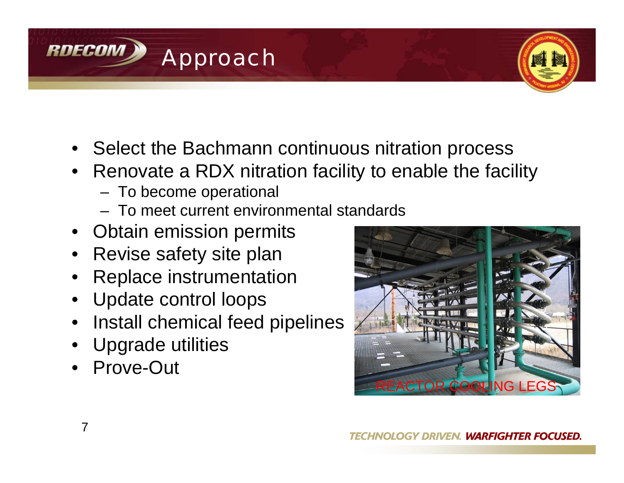



- Select the Bachmann continuous nitration process
- Renovate a RDX nitration facility to enable the facility
	- To become operational
	- To meet current environmental standards
- Obtain emission permits
- Revise safety site plan
- Replace instrumentation
- Update control loops
- Install chemical feed pipelines
- Upgrade utilities
- Prove-Out

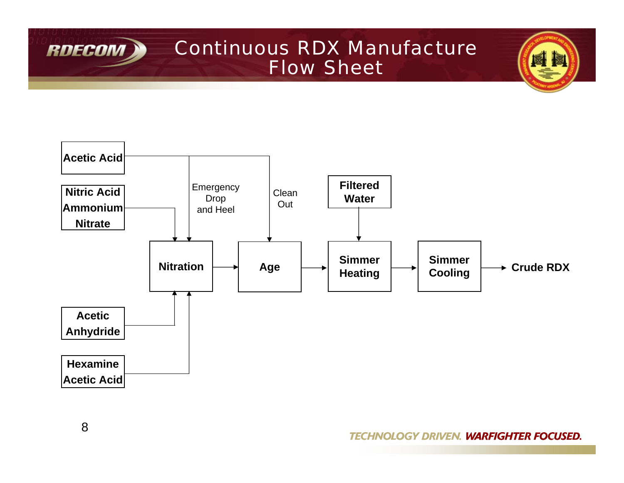

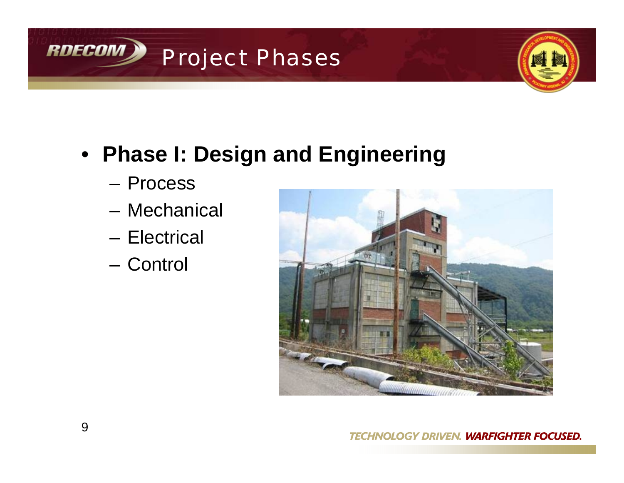



- **Phase I: Design and Engineering**
	- Process
	- Mechanical
	- Electrical
	- Control

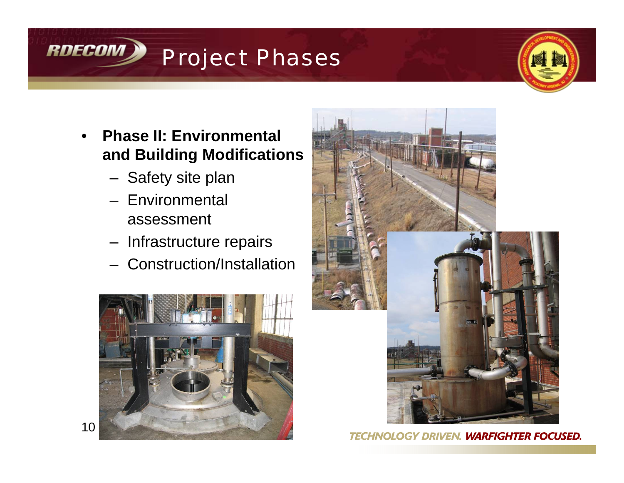## RDECOM Project Phases



- **Phase II: Environmental and Building Modifications**
	- Safety site plan
	- Environmental assessment
	- Infrastructure repairs
	- Construction/Installation





**GY DRIVEN. WARFIGHTER FOCUSED.** *TECHNO*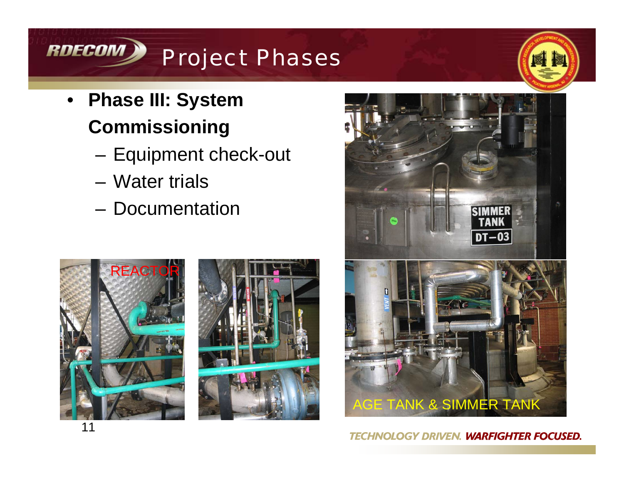# RDECOM) Project Phases

- **Phase III: System Commissioning**
	- Equipment check-out
	- Water trials
	- Documentation







#### **TECHNOLOGY DRIVEN. WARFIGHTER FOCUSED.**